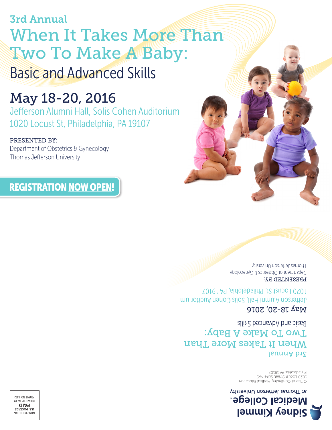# 3rd Annual When It Takes More Than Two To Make A Baby: Basic and Advanced Skills

May 18-20, 2016 Jefferson Alumni Hall, Solis Cohen Auditorium 1020 Locust St, Philadelphia, PA 19107

# PRESENTED BY:

Department of Obstetrics & Gynecology Thomas Jefferson University

REGISTRATION NOW OPEN!

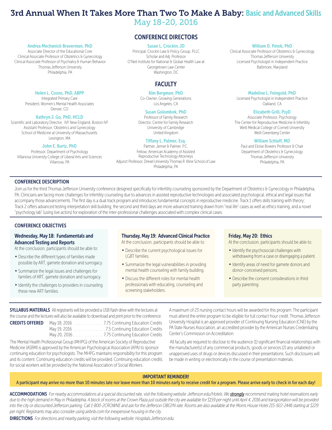# 3rd Annual When It Takes More Than Two To Make A Baby: Basic and Advanced Skills

May 18-20, 2016

# CONFERENCE DIRECTORS

#### Susan L. Crockin, JD

Principal, Crockin Law & Policy Group, PLLC Scholar and Adj. Professor O'Neil Institute for National & Global Health Law at Georgetown Law Center Washington, DC

# **FACULTY**

#### Kim Bergman, PhD

Co-Owner, Growing Generations Los Angeles, CA

#### Susan Golombok, PhD

Professor of Family Research Director, Centre for Family Research University of Cambridge United Kingdom

#### Tiffany L. Palmer, Esq.

Partner, Jerner & Palmer, P.C. Fellow, American Academy of Assisted Reproductive Technology Attorneys Adjunct Professor, Drexel University Thomas R. Kline School of Law Philadelphia, PA

#### William D. Petok, PhD

Clinical Associate Professor of Obstetrics & Gynecology Thomas Jefferson University Licensed Psychologist in Independent Practice Baltimore, Maryland

#### Madeline L. Feingold, PhD

Licensed Psychologist in Independent Practice Oakland, CA

### Elizabeth Grill, PsyD

Associate Professor, Psychology The Center for Reproductive Medicine & Infertility Weill Medical College of Cornell University Weill Greenberg Center

### William Schlaff, MD

Paul and Eloise Bowers Professor & Chair Department of Obstetrics & Gynecology Thomas Jefferson University Philadelphia, PA

### CONFERENCE DESCRIPTION

Join us for the third Thomas Jefferson University conference designed specifically for infertility counseling sponsored by the Department of Obstetrics & Gynecology in Philadelphia, PA. Clinicians are facing more challenges for infertility counseling due to advances in assisted reproductive technologies and associated psychological, ethical and legal issues that accompany those advancements. The first day is a dual track program and introduces fundamental concepts in reproductive medicine. Track 1 offers skills training with theory; Track 2 offers advanced testing interpretation skill building; the second and third days are more advanced training drawn from "real life" cases as well as ethics training, and a novel "psychology lab" (using live actors) for exploration of the inter-professional challenges associated with complex clinical cases.

### CONFERENCE OBJECTIVES

### Wednesday, May 18: Fundamentals and Advanced Testing and Reports

Helen L. Coons, PhD, ABPP Integrated Primary Care President, Women's Mental Health Associates Denver, CO Kathryn J. Go, PhD, HCLD Scientific and Laboratory Director, IVF New England, Boston IVF Assistant Professor, Obstetrics and Gynecology School of Medicine at University of Massachusetts Lexington, MA John E. Kurtz, PhD Professor, Department of Psychology Villanova University College of Liberal Arts and Sciences Villanova, PA

Andrea Mechanick Braverman, PhD Associate Director of the Educational Core Clinical Associate Professor of Obstetrics & Gynecology Clinical Associate Professor of Psychiatry & Human Behavior Thomas Jefferson University Philadelphia, PA

At the conclusion, participants should be able to:

- · Describe the different types of families made possible by ART, gamete donation and surrogacy.
- · Summarize the legal issues and challenges for families of ART, gamete donation and surrogacy.
- · Identify the challenges to providers in counseling these new ART families.

### Thursday, May 19: Advanced Clinical Practice

At the conclusion, participants should be able to:

- · Describe the current psychological issues for LGBT families.
- · Summarize the legal vulnerabilities in providing mental health counseling with family building.
- · Discuss the different roles for mental health professionals with educating, counseling and screening stakeholders.

#### Friday, May 20: Ethics

At the conclusion, participants should be able to:

- · Identify the psychosocial challenges with withdrawing from a case or disengaging a patient.
- · Identify areas of need for gamete donors and donor-conceived persons.
- · Describe the consent considerations in third party parenting.

**SYLLABUS MATERIALS** All registrants will be provided a USB flash drive with the lectures at the course and the lectures will also be available to download and print prior to the conference.

CREDITS OFFERED May 18, 2016 . . . . . . . . . . . 7.75 Continuing Education Credits May 19, 2016 . . . . . . . . . . . . . . 7.5 Continuing Education Credits May 20, 2016 . . . . . . . . . . . . . 7.75 Continuing Education Credits

The Mental Health Professional Group (MHPG) of the American Society of Reproductive Medicine (ASRM) is approved by the American Psychological Association (APA) to sponsor continuing education for psychologists. The MHPG maintains responsibility for this program and its content. Continuing education credits will be provided. Continuing education credits for social workers will be provided by the National Association of Social Workers.

A maximum of 23 nursing contact hours will be awarded for this program. The participant must attend the entire program to be eligible for full contact hour credit. Thomas Jefferson University Hospital is an approved provider of Continuing Nursing Education (CNE) by the PA State Nurses Association, an accredited provider by the American Nurses Credentialing Center's Commission on Accreditation.

 All faculty are required to disclose to the audience (1) significant financial relationships with the manufacturer(s) of any commercial products, goods or services (2) any unlabeled or unapproved uses of drugs or devices discussed in their presentations. Such disclosures will be made in writing or electronically in the course of presentation materials.

# IMPORTANT REMINDER!

#### A participant may arrive no more than 10 minutes late nor leave more than 10 minutes early to receive credit for a program. Please arrive early to check in for each day!

ACCOMMODATIONS For nearby accommodations at a special discounted rate, visit the following website: Jefferson.edu/Hotels. We **strongly** recommend making hotel reservations early due to the high demand in May in Philadelphia. A block of rooms at the Crown Plaza just outside the city are available for \$159 per night until April 4, 2016 and transportation will be provided *into the city or discounted Jefferson parking. Call 1-800-2CROWNE and ask for the Jefferson OBGYN rate. Rooms are also available at the Morris House Hotel 215-922-2446 starting at \$229 per night. Registrants may also consider using airbnb.com for inexpensive housing in the city.*

DIRECTIONS *For directions and nearby parking, visit the following website: Hospitals.Jefferson.edu*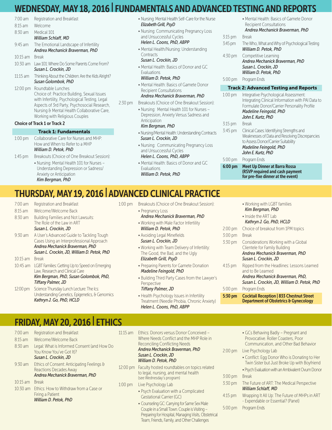# WEDNESDAY, MAY 18, 2016 | FUNDAMENTALS AND ADVANCED TESTING AND REPORTS

| $7:00 \text{ am}$                   | Registration and Breakfast                         |  |  |  |  |
|-------------------------------------|----------------------------------------------------|--|--|--|--|
| 8:15 am                             | Welcome                                            |  |  |  |  |
| 8:30 am                             | Medical 101                                        |  |  |  |  |
|                                     | William Schlaff, MD                                |  |  |  |  |
| $9:45$ am                           | The Emotional Landscape of Infertility             |  |  |  |  |
|                                     | Andrea Mechanick Braverman, PhD                    |  |  |  |  |
| $10:15$ am                          | <b>Break</b>                                       |  |  |  |  |
| $10:30$ am                          | Law 101: Where Do Some Parents Come From?          |  |  |  |  |
|                                     | Susan L. Crockin, JD                               |  |  |  |  |
| $11:15$ am                          | Thinking About the Children: Are the Kids Alright? |  |  |  |  |
|                                     | Susan Golombok, PhD                                |  |  |  |  |
| $12:00$ pm                          | Roundtable Lunches                                 |  |  |  |  |
|                                     | Choice of: Practice Building, Sexual Issues        |  |  |  |  |
|                                     | with Infertility, Psychological Testing, Legal     |  |  |  |  |
|                                     | Aspects of 3rd Party, Psychosocial Research,       |  |  |  |  |
|                                     | Nursing & Mental Health Collaborative Care,        |  |  |  |  |
|                                     | Working with Religious Couples                     |  |  |  |  |
| <b>Choice of Track 1 or Track 2</b> |                                                    |  |  |  |  |
| <b>Track 1: Fundamentals</b>        |                                                    |  |  |  |  |
|                                     |                                                    |  |  |  |  |

- 1:00 pm Collaborative Care for Nurses and MHP: How and When to Refer to a MHP *William D. Petok, PhD*
- 1:45 pm Breakouts (Choice of One Breakout Session):
	- Nursing: Mental Health 101 for Nurses Understanding Depression or Sadness/ Anxiety or Anticipation *Kim Bergman, PhD*
- Nursing: Mental Health Self-Care for the Nurse *Elizabeth Grill, PsyD*
- Nursing: Communicating Pregnancy Loss and Unsuccessful Cycles *Helen L. Coons, PhD, ABPP*
- Mental Health/Nursing: Understanding **Contracts** *Susan L. Crockin, JD*
- Mental Health: Basics of Donor and GC Evaluations
- *William D. Petok, PhD* • Mental Health: Basics of Gamete Donor
- Recipient Consultations *Andrea Mechanick Braverman, PhD*

# 2:30 pm Breakouts (Choice of One Breakout Session):

- Nursing: Mental Health 101 for Nurses Depression, Anxiety Versus Sadness and **Anticipation** 
	- *Kim Bergman, PhD*
- Nursing/Mental Health: Understanding Contracts *Susan L. Crockin, JD*
- Nursing: Communicating Pregnancy Loss and Unsuccessful Cycles *Helen L. Coons, PhD, ABPP*
- Mental Health: Basics of Donor and GC Evaluations
- *William D. Petok, PhD*

|                   | • Mental Health: Basics of Gamete Donor                                                                                                   |  |  |  |  |
|-------------------|-------------------------------------------------------------------------------------------------------------------------------------------|--|--|--|--|
|                   | <b>Recipient Consultations</b>                                                                                                            |  |  |  |  |
|                   | Andrea Mechanick Braverman, PhD                                                                                                           |  |  |  |  |
| $3:15$ pm         | <b>Break</b>                                                                                                                              |  |  |  |  |
| $3:45 \text{ pm}$ | The Who, What and Why of Psychological Testing<br>William D. Petok, PhD                                                                   |  |  |  |  |
| $4:30$ pm         | Competitive Learning                                                                                                                      |  |  |  |  |
|                   | Andrea Mechanick Braverman, PhD<br>Susan L. Crockin, JD                                                                                   |  |  |  |  |
|                   | William D. Petok, PhD                                                                                                                     |  |  |  |  |
| $5:00 \text{ pm}$ | Program Ends                                                                                                                              |  |  |  |  |
|                   |                                                                                                                                           |  |  |  |  |
|                   |                                                                                                                                           |  |  |  |  |
|                   | <b>Track 2: Advanced Testing and Reports</b>                                                                                              |  |  |  |  |
| $1:00$ pm         | Integrative Psychological Assessment:<br>Integrating Clinical Information with PAI Data to<br>Formulate Donor/Carrier Personality Profile |  |  |  |  |
|                   | Madeline Feingold, PhD                                                                                                                    |  |  |  |  |
|                   | John E. Kurtz, PhD                                                                                                                        |  |  |  |  |
| $3:15$ pm         | <b>Break</b>                                                                                                                              |  |  |  |  |
| $3:45$ pm         | Clinical Cases: Identifying Strengths and<br>Weaknesses of Data and Resolving Discrepancies<br>to Assess Donor/Carrier Suitability        |  |  |  |  |
|                   | Madeline Feingold, PhD                                                                                                                    |  |  |  |  |
|                   | John E. Kurtz, PhD                                                                                                                        |  |  |  |  |

#### 6:00 pm Meet Up Dinner at Barra Rossa (RSVP required and cash payment for pre-fixe dinner at the event)

# THURSDAY, MAY 19, 2016 | ADVANCED CLINICAL PRACTICE

- 7:00 am Registration and Breakfast
- 8:15 am Welcome/Welcome Back 8:30 am Building Families and Not Lawsuits: The Role of the Law in ART *Susan L. Crockin, JD*
- 9:30 am A User's Advanced Guide to Tackling Tough Cases Using an Interprofessional Approach *Andrea Mechanick Braverman, PhD Susan L. Crockin, JD, William D. Petok, PhD*
- 10:15 am Break
- 10:45 am LGBT Families: Getting Up to Speed on Emerging Law, Research and Clinical Care *Kim Bergman, PhD, Susan Golombok, PhD,*
- *Tiffany Palmer, JD* 12:00 pm Science Thursday Lunch Lecture: The Ics: Understanding Genetics, Epigenetics, & Genomics *Kathryn J. Go, PhD, HCLD*

1:00 pm Breakouts (Choice of One Breakout Session): • Pregnancy Loss

# *Andrea Mechanick Braverman, PhD*

- Working with Male Factor Infertility *William D. Petok, PhD*
- Avoiding Legal Minefields *Susan L. Crockin, JD*
- Working with Team Delivery of Infertility: The Good, the Bad, and the Ugly *Elizabeth Grill, PsyD*
- Preparing Parents for Gamete Donation *Madeline Feingold, PhD*
- Building Third Party Cases from the Lawyer's Perspective

### *Tiffany Palmer, JD*

- Health Psychology Issues in Infertility Treatment (Needle Phobia, Chronic Anxiety) *Helen L. Coons, PhD, ABPP*
- Working with LGBT families *Kim Bergman, PhD* • Inside the ART Lab *Kathryn J. Go, PhD, HCLD* 2:00 pm Choice of breakout from 1PM topics 3:00 pm Break 3:30 pm Considerations Working with a Global Clientele for Family Building *Andrea Mechanick Braverman, PhD Susan L. Crockin, JD* 4:15 pm Ripped from the Headlines: Lessons Learned and to Be Learned *Andrea Mechanick Braverman, PhD, Susan L. Crockin, JD, William D. Petok, PhD* 5:00 pm Program Ends 5:30 pm Cocktail Reception | 833 Chestnut Street

Department of Obstetrics & Gynecology

# FRIDAY, MAY 20, 2016 | ETHICS

- 7:00 am Registration and Breakfast 8:15 am Welcome/Welcome Back 8:30 am Legal: What is Informed Consent (and How Do You Know You've Got It)? *Susan L. Crockin, JD* 9:30 am Ethics of Consent: Anticipating Feelings & Reactions Decades Away *Andrea Mechanick Braverman, PhD* 10:15 am Break 10:30 am Ethics: How to Withdraw from a Case or Firing a Patient
	- *William D. Petok, PhD*
- 11:15 am Ethics: Donors versus Donor Conceived Where Needs Conflict and the MHP Role in Reconciling Conflicting Needs *Andrea Mechanick Braverman, PhD Susan L. Crockin, JD William D. Petok, PhD*
- 12:00 pm Faculty hosted roundtables on topics related to legal, nursing, and mental health (see Wednesday's program) 1:00 pm Live Psychology Lab
	- Psych Evaluation with a Complicated Gestational Carrier (GC)
		- Counseling GC: Carrying for Same Sex Male Couple in a Small Town. Couple is Visiting – Preparing for Hospital, Managing Visits, Obstetrical Team, Friends, Family, and Other Challenges
- GCs Behaving Badly Pregnant and Provocative. Roller Coasters, Poor Communication, and Other Bad Behavior
- 2:00 pm Live Psychology Lab
	- Conflict: Egg Donor Who is Donating to Her Twin Sister but Just Broke Up with Boyfriend

• Psych Evaluation with an Ambivalent Ovum Donor

# 3:00 pm Break

- 3:30 pm The Future of ART: The Medical Perspective *William Schlaff, MD*
- 4:15 pm Wrapping It All Up: The Future of MHPs in ART - Expendable or Essential? (Panel)
- 5:00 pm Program Ends